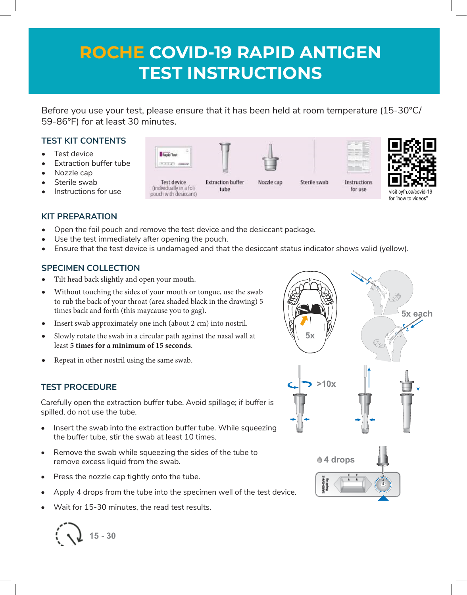# **ROCHE COVID-19 RAPID ANTIGEN TEST INSTRUCTIONS**

Before you use your test, please ensure that it has been held at room temperature (15-30°C/ 59-86°F) for at least 30 minutes.

## **TEST KIT CONTENTS**

- Test device
- **Extraction buffer tube**
- Nozzle cap
- Sterile swab
- Instructions for use

## **KIT PREPARATION**

- Open the foil pouch and remove the test device and the desiccant package.
- Use the test immediately after opening the pouch.
- Ensure that the test device is undamaged and that the desiccant status indicator shows valid (yellow).

#### **SPECIMEN COLLECTION**

- Tilt head back slightly and open your mouth.
- Without touching the sides of your mouth or tongue, use the swab to rub the back of your throat (area shaded black in the drawing) 5 times back and forth (this maycause you to gag).
- Insert swab approximately one inch (about 2 cm) into nostril.
- Slowly rotate the swab in a circular path against the nasal wall at least **5 times for a minimum of 15 seconds**.
- Repeat in other nostril using the same swab.

#### **TEST PROCEDURE**

Carefully open the extraction buffer tube. Avoid spillage; if buffer is spilled, do not use the tube.

- Insert the swab into the extraction buffer tube. While squeezing the buffer tube, stir the swab at least 10 times.
- Remove the swab while squeezing the sides of the tube to remove excess liquid from the swab.
- Press the nozzle cap tightly onto the tube.
- Apply 4 drops from the tube into the specimen well of the test device.
- Wait for 15-30 minutes, the read test results.







Rapid Test

**Extraction buffer** tube



Sterile swab

mm

Instructions

for use